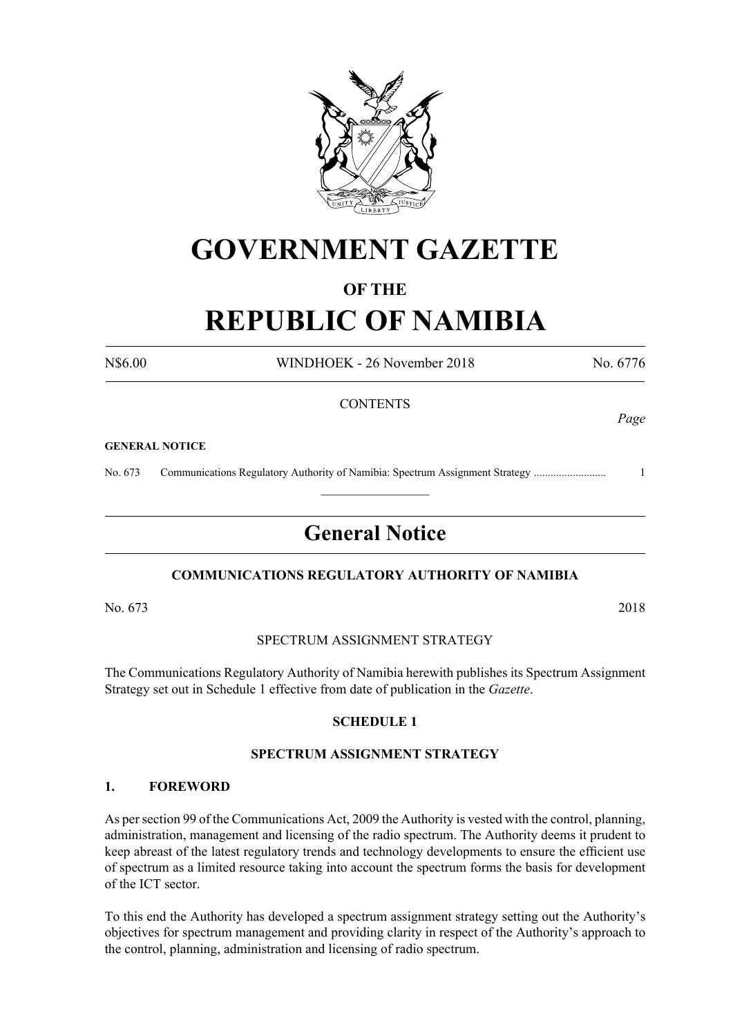

## **GOVERNMENT GAZETTE**

### **OF THE**

# **REPUBLIC OF NAMIBIA**

N\$6.00 WINDHOEK - 26 November 2018 No. 6776

#### **CONTENTS**

#### **GENERAL NOTICE**

No. 673 Communications Regulatory Authority of Namibia: Spectrum Assignment Strategy .......................... 1

### **General Notice**

 $\frac{1}{2}$ 

#### **COMMUNICATIONS REGULATORY AUTHORITY OF NAMIBIA**

No. 673 2018

#### SPECTRUM ASSIGNMENT STRATEGY

The Communications Regulatory Authority of Namibia herewith publishes its Spectrum Assignment Strategy set out in Schedule 1 effective from date of publication in the *Gazette*.

#### **SCHEDULE 1**

#### **SPECTRUM ASSIGNMENT STRATEGY**

#### **1. FOREWORD**

As per section 99 of the Communications Act, 2009 the Authority is vested with the control, planning, administration, management and licensing of the radio spectrum. The Authority deems it prudent to keep abreast of the latest regulatory trends and technology developments to ensure the efficient use of spectrum as a limited resource taking into account the spectrum forms the basis for development of the ICT sector.

To this end the Authority has developed a spectrum assignment strategy setting out the Authority's objectives for spectrum management and providing clarity in respect of the Authority's approach to the control, planning, administration and licensing of radio spectrum.

*Page*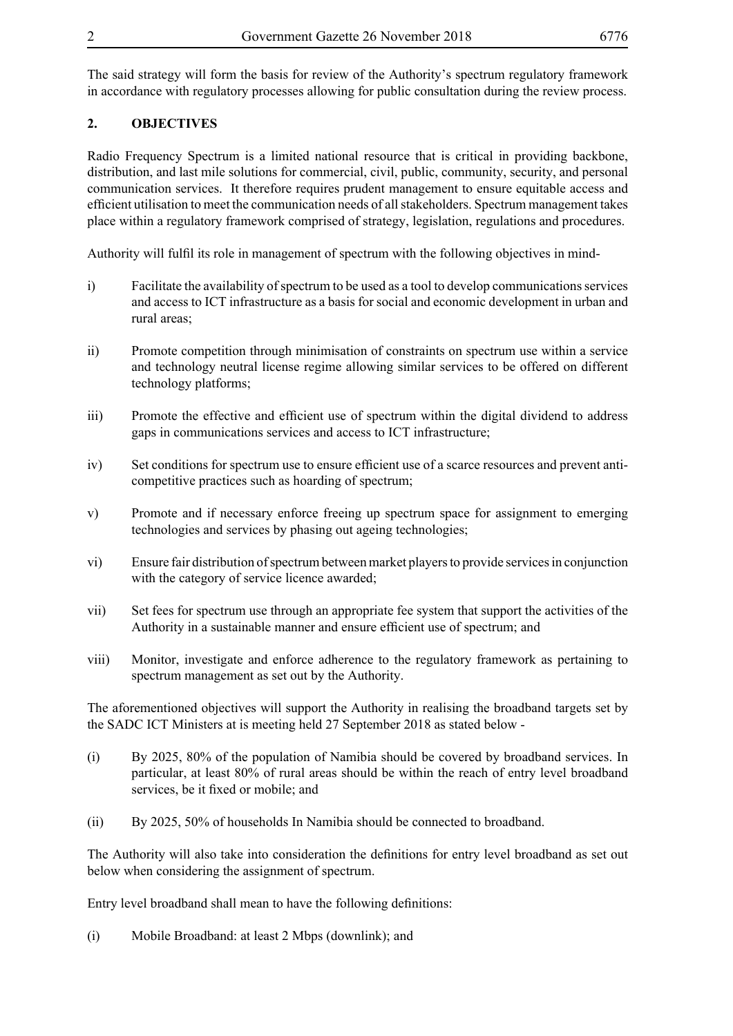The said strategy will form the basis for review of the Authority's spectrum regulatory framework in accordance with regulatory processes allowing for public consultation during the review process.

#### **2. OBJECTIVES**

Radio Frequency Spectrum is a limited national resource that is critical in providing backbone, distribution, and last mile solutions for commercial, civil, public, community, security, and personal communication services. It therefore requires prudent management to ensure equitable access and efficient utilisation to meet the communication needs of all stakeholders. Spectrum management takes place within a regulatory framework comprised of strategy, legislation, regulations and procedures.

Authority will fulfil its role in management of spectrum with the following objectives in mind-

- i) Facilitate the availability of spectrum to be used as a tool to develop communications services and access to ICT infrastructure as a basis for social and economic development in urban and rural areas;
- ii) Promote competition through minimisation of constraints on spectrum use within a service and technology neutral license regime allowing similar services to be offered on different technology platforms;
- iii) Promote the effective and efficient use of spectrum within the digital dividend to address gaps in communications services and access to ICT infrastructure;
- iv) Set conditions for spectrum use to ensure efficient use of a scarce resources and prevent anticompetitive practices such as hoarding of spectrum;
- v) Promote and if necessary enforce freeing up spectrum space for assignment to emerging technologies and services by phasing out ageing technologies;
- vi) Ensure fair distribution of spectrum between market players to provide services in conjunction with the category of service licence awarded;
- vii) Set fees for spectrum use through an appropriate fee system that support the activities of the Authority in a sustainable manner and ensure efficient use of spectrum; and
- viii) Monitor, investigate and enforce adherence to the regulatory framework as pertaining to spectrum management as set out by the Authority.

The aforementioned objectives will support the Authority in realising the broadband targets set by the SADC ICT Ministers at is meeting held 27 September 2018 as stated below -

- (i) By 2025, 80% of the population of Namibia should be covered by broadband services. In particular, at least 80% of rural areas should be within the reach of entry level broadband services, be it fixed or mobile; and
- (ii) By 2025, 50% of households In Namibia should be connected to broadband.

The Authority will also take into consideration the definitions for entry level broadband as set out below when considering the assignment of spectrum.

Entry level broadband shall mean to have the following definitions:

(i) Mobile Broadband: at least 2 Mbps (downlink); and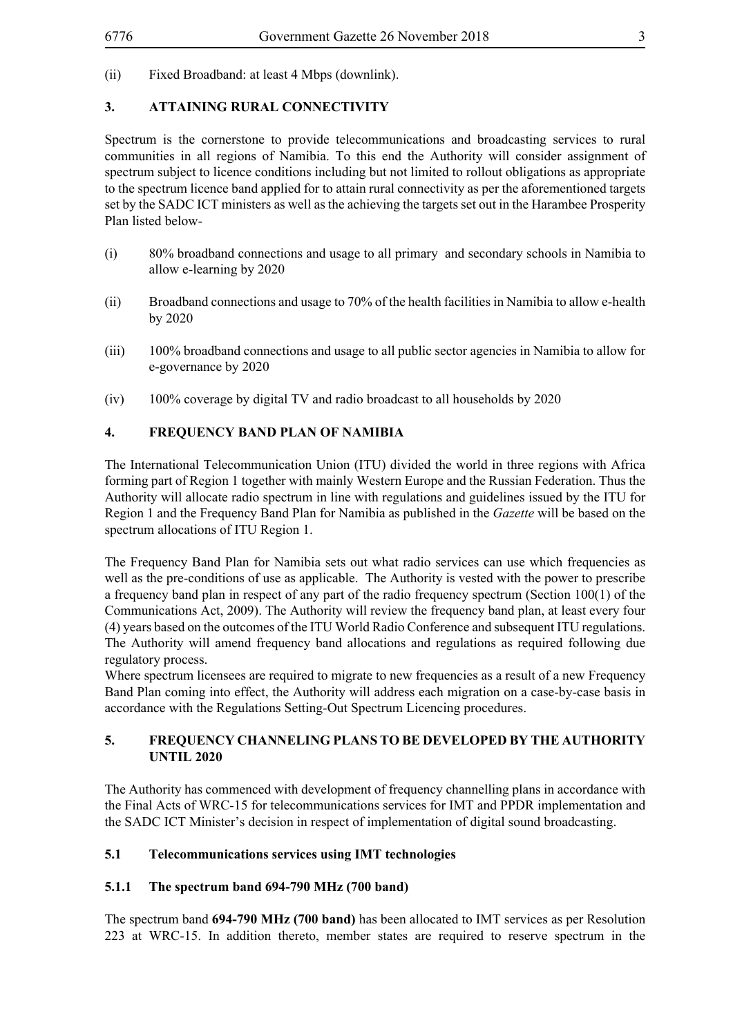(ii) Fixed Broadband: at least 4 Mbps (downlink).

#### **3. ATTAINING RURAL CONNECTIVITY**

Spectrum is the cornerstone to provide telecommunications and broadcasting services to rural communities in all regions of Namibia. To this end the Authority will consider assignment of spectrum subject to licence conditions including but not limited to rollout obligations as appropriate to the spectrum licence band applied for to attain rural connectivity as per the aforementioned targets set by the SADC ICT ministers as well as the achieving the targets set out in the Harambee Prosperity Plan listed below-

- (i) 80% broadband connections and usage to all primary and secondary schools in Namibia to allow e-learning by 2020
- (ii) Broadband connections and usage to 70% of the health facilities in Namibia to allow e-health by 2020
- (iii) 100% broadband connections and usage to all public sector agencies in Namibia to allow for e-governance by 2020
- (iv) 100% coverage by digital TV and radio broadcast to all households by 2020

#### **4. FREQUENCY BAND PLAN OF NAMIBIA**

The International Telecommunication Union (ITU) divided the world in three regions with Africa forming part of Region 1 together with mainly Western Europe and the Russian Federation. Thus the Authority will allocate radio spectrum in line with regulations and guidelines issued by the ITU for Region 1 and the Frequency Band Plan for Namibia as published in the *Gazette* will be based on the spectrum allocations of ITU Region 1.

The Frequency Band Plan for Namibia sets out what radio services can use which frequencies as well as the pre-conditions of use as applicable. The Authority is vested with the power to prescribe a frequency band plan in respect of any part of the radio frequency spectrum (Section 100(1) of the Communications Act, 2009). The Authority will review the frequency band plan, at least every four (4) years based on the outcomes of the ITU World Radio Conference and subsequent ITU regulations. The Authority will amend frequency band allocations and regulations as required following due regulatory process.

Where spectrum licensees are required to migrate to new frequencies as a result of a new Frequency Band Plan coming into effect, the Authority will address each migration on a case-by-case basis in accordance with the Regulations Setting-Out Spectrum Licencing procedures.

#### **5. FREQUENCY CHANNELING PLANS TO BE DEVELOPED BY THE AUTHORITY UNTIL 2020**

The Authority has commenced with development of frequency channelling plans in accordance with the Final Acts of WRC-15 for telecommunications services for IMT and PPDR implementation and the SADC ICT Minister's decision in respect of implementation of digital sound broadcasting.

#### **5.1 Telecommunications services using IMT technologies**

#### **5.1.1 The spectrum band 694-790 MHz (700 band)**

The spectrum band **694-790 MHz (700 band)** has been allocated to IMT services as per Resolution 223 at WRC-15. In addition thereto, member states are required to reserve spectrum in the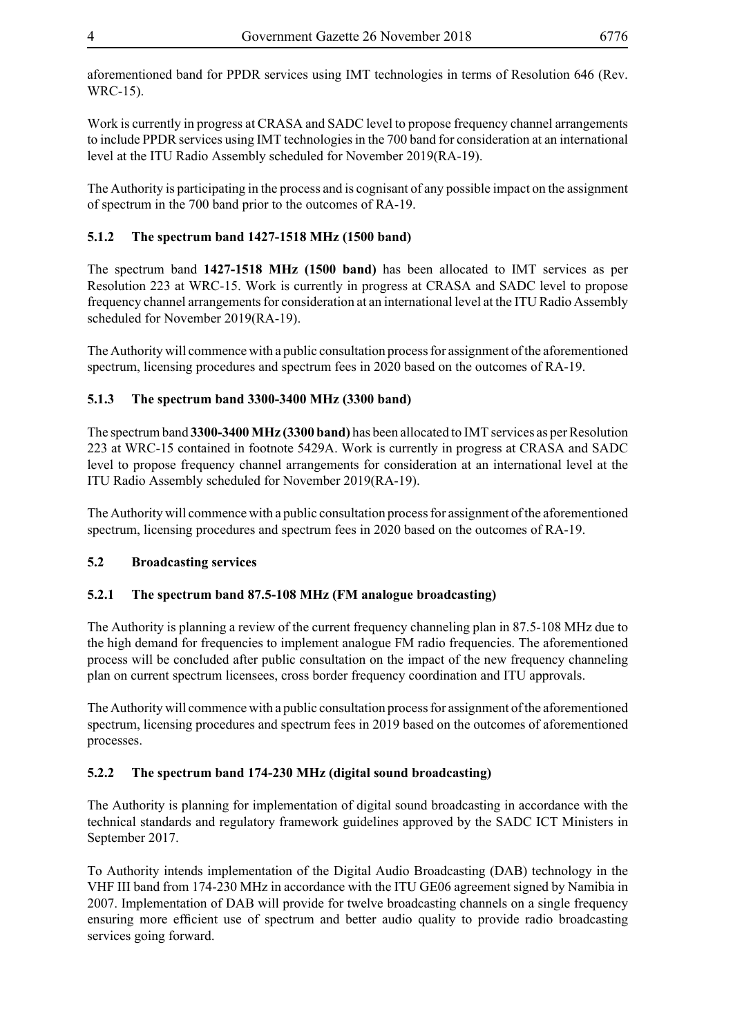aforementioned band for PPDR services using IMT technologies in terms of Resolution 646 (Rev. WRC-15).

Work is currently in progress at CRASA and SADC level to propose frequency channel arrangements to include PPDR services using IMT technologies in the 700 band for consideration at an international level at the ITU Radio Assembly scheduled for November 2019(RA-19).

The Authority is participating in the process and is cognisant of any possible impact on the assignment of spectrum in the 700 band prior to the outcomes of RA-19.

#### **5.1.2 The spectrum band 1427-1518 MHz (1500 band)**

The spectrum band **1427-1518 MHz (1500 band)** has been allocated to IMT services as per Resolution 223 at WRC-15. Work is currently in progress at CRASA and SADC level to propose frequency channel arrangements for consideration at an international level at the ITU Radio Assembly scheduled for November 2019(RA-19).

The Authority will commence with a public consultation process for assignment of the aforementioned spectrum, licensing procedures and spectrum fees in 2020 based on the outcomes of RA-19.

#### **5.1.3 The spectrum band 3300-3400 MHz (3300 band)**

The spectrum band **3300-3400 MHz (3300 band)** has been allocated to IMT services as per Resolution 223 at WRC-15 contained in footnote 5429A. Work is currently in progress at CRASA and SADC level to propose frequency channel arrangements for consideration at an international level at the ITU Radio Assembly scheduled for November 2019(RA-19).

The Authority will commence with a public consultation process for assignment of the aforementioned spectrum, licensing procedures and spectrum fees in 2020 based on the outcomes of RA-19.

#### **5.2 Broadcasting services**

#### **5.2.1 The spectrum band 87.5-108 MHz (FM analogue broadcasting)**

The Authority is planning a review of the current frequency channeling plan in 87.5-108 MHz due to the high demand for frequencies to implement analogue FM radio frequencies. The aforementioned process will be concluded after public consultation on the impact of the new frequency channeling plan on current spectrum licensees, cross border frequency coordination and ITU approvals.

The Authority will commence with a public consultation process for assignment of the aforementioned spectrum, licensing procedures and spectrum fees in 2019 based on the outcomes of aforementioned processes.

#### **5.2.2 The spectrum band 174-230 MHz (digital sound broadcasting)**

The Authority is planning for implementation of digital sound broadcasting in accordance with the technical standards and regulatory framework guidelines approved by the SADC ICT Ministers in September 2017.

To Authority intends implementation of the Digital Audio Broadcasting (DAB) technology in the VHF III band from 174-230 MHz in accordance with the ITU GE06 agreement signed by Namibia in 2007. Implementation of DAB will provide for twelve broadcasting channels on a single frequency ensuring more efficient use of spectrum and better audio quality to provide radio broadcasting services going forward.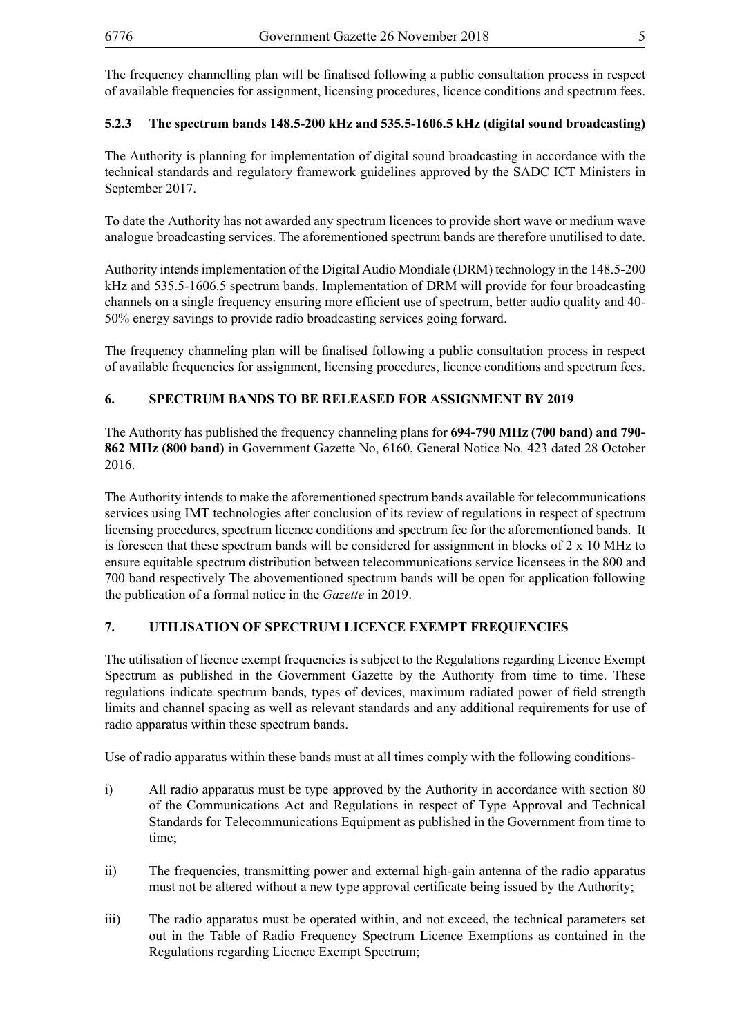The frequency channelling plan will be finalised following a public consultation process in respect of available frequencies for assignment, licensing procedures, licence conditions and spectrum fees.

#### **5.2.3 The spectrum bands 148.5-200 kHz and 535.5-1606.5 kHz (digital sound broadcasting)**

The Authority is planning for implementation of digital sound broadcasting in accordance with the technical standards and regulatory framework guidelines approved by the SADC ICT Ministers in September 2017.

To date the Authority has not awarded any spectrum licences to provide short wave or medium wave analogue broadcasting services. The aforementioned spectrum bands are therefore unutilised to date.

Authority intends implementation of the Digital Audio Mondiale (DRM) technology in the 148.5-200 kHz and 535.5-1606.5 spectrum bands. Implementation of DRM will provide for four broadcasting channels on a single frequency ensuring more efficient use of spectrum, better audio quality and 40- 50% energy savings to provide radio broadcasting services going forward.

The frequency channeling plan will be finalised following a public consultation process in respect of available frequencies for assignment, licensing procedures, licence conditions and spectrum fees.

#### **6. SPECTRUM BANDS TO BE RELEASED FOR ASSIGNMENT BY 2019**

The Authority has published the frequency channeling plans for **694-790 MHz (700 band) and 790- 862 MHz (800 band)** in Government Gazette No, 6160, General Notice No. 423 dated 28 October 2016.

The Authority intends to make the aforementioned spectrum bands available for telecommunications services using IMT technologies after conclusion of its review of regulations in respect of spectrum licensing procedures, spectrum licence conditions and spectrum fee for the aforementioned bands. It is foreseen that these spectrum bands will be considered for assignment in blocks of 2 x 10 MHz to ensure equitable spectrum distribution between telecommunications service licensees in the 800 and 700 band respectively The abovementioned spectrum bands will be open for application following the publication of a formal notice in the *Gazette* in 2019.

#### **7. UTILISATION OF SPECTRUM LICENCE EXEMPT FREQUENCIES**

The utilisation of licence exempt frequencies is subject to the Regulations regarding Licence Exempt Spectrum as published in the Government Gazette by the Authority from time to time. These regulations indicate spectrum bands, types of devices, maximum radiated power of field strength limits and channel spacing as well as relevant standards and any additional requirements for use of radio apparatus within these spectrum bands.

Use of radio apparatus within these bands must at all times comply with the following conditions-

- i) All radio apparatus must be type approved by the Authority in accordance with section 80 of the Communications Act and Regulations in respect of Type Approval and Technical Standards for Telecommunications Equipment as published in the Government from time to time;
- ii) The frequencies, transmitting power and external high-gain antenna of the radio apparatus must not be altered without a new type approval certificate being issued by the Authority;
- iii) The radio apparatus must be operated within, and not exceed, the technical parameters set out in the Table of Radio Frequency Spectrum Licence Exemptions as contained in the Regulations regarding Licence Exempt Spectrum;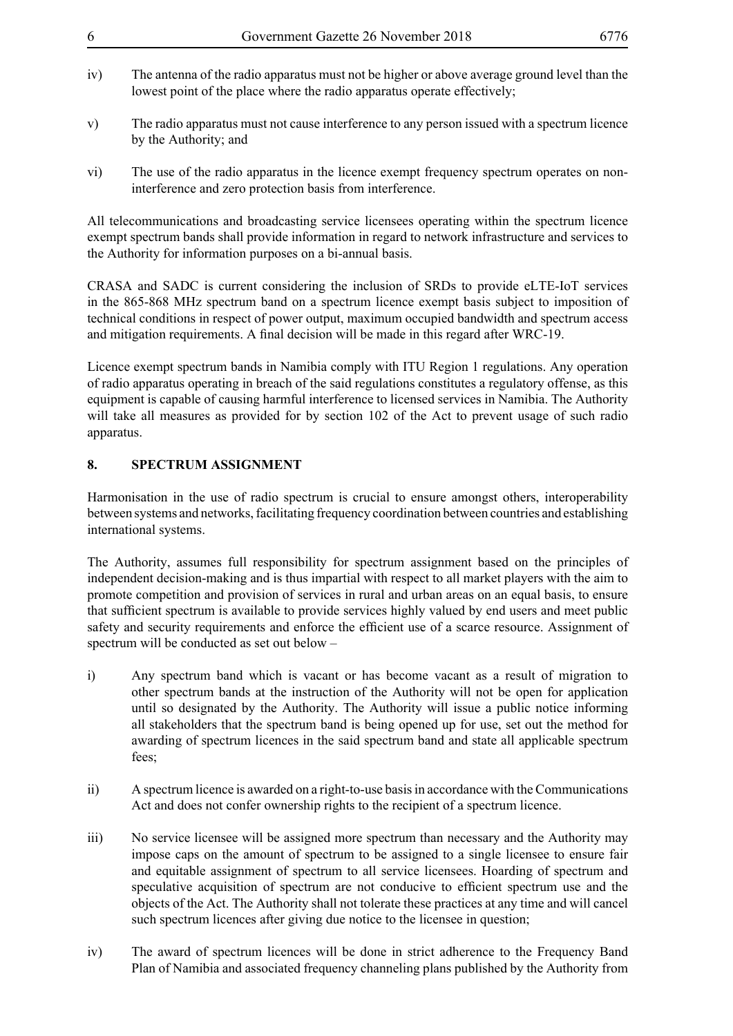- 
- iv) The antenna of the radio apparatus must not be higher or above average ground level than the lowest point of the place where the radio apparatus operate effectively;
- v) The radio apparatus must not cause interference to any person issued with a spectrum licence by the Authority; and
- vi) The use of the radio apparatus in the licence exempt frequency spectrum operates on noninterference and zero protection basis from interference.

All telecommunications and broadcasting service licensees operating within the spectrum licence exempt spectrum bands shall provide information in regard to network infrastructure and services to the Authority for information purposes on a bi-annual basis.

CRASA and SADC is current considering the inclusion of SRDs to provide eLTE-IoT services in the 865-868 MHz spectrum band on a spectrum licence exempt basis subject to imposition of technical conditions in respect of power output, maximum occupied bandwidth and spectrum access and mitigation requirements. A final decision will be made in this regard after WRC-19.

Licence exempt spectrum bands in Namibia comply with ITU Region 1 regulations. Any operation of radio apparatus operating in breach of the said regulations constitutes a regulatory offense, as this equipment is capable of causing harmful interference to licensed services in Namibia. The Authority will take all measures as provided for by section 102 of the Act to prevent usage of such radio apparatus.

#### **8. SPECTRUM ASSIGNMENT**

Harmonisation in the use of radio spectrum is crucial to ensure amongst others, interoperability between systems and networks, facilitating frequency coordination between countries and establishing international systems.

The Authority, assumes full responsibility for spectrum assignment based on the principles of independent decision-making and is thus impartial with respect to all market players with the aim to promote competition and provision of services in rural and urban areas on an equal basis, to ensure that sufficient spectrum is available to provide services highly valued by end users and meet public safety and security requirements and enforce the efficient use of a scarce resource. Assignment of spectrum will be conducted as set out below –

- i) Any spectrum band which is vacant or has become vacant as a result of migration to other spectrum bands at the instruction of the Authority will not be open for application until so designated by the Authority. The Authority will issue a public notice informing all stakeholders that the spectrum band is being opened up for use, set out the method for awarding of spectrum licences in the said spectrum band and state all applicable spectrum fees;
- ii) A spectrum licence is awarded on a right-to-use basis in accordance with the Communications Act and does not confer ownership rights to the recipient of a spectrum licence.
- iii) No service licensee will be assigned more spectrum than necessary and the Authority may impose caps on the amount of spectrum to be assigned to a single licensee to ensure fair and equitable assignment of spectrum to all service licensees. Hoarding of spectrum and speculative acquisition of spectrum are not conducive to efficient spectrum use and the objects of the Act. The Authority shall not tolerate these practices at any time and will cancel such spectrum licences after giving due notice to the licensee in question;
- iv) The award of spectrum licences will be done in strict adherence to the Frequency Band Plan of Namibia and associated frequency channeling plans published by the Authority from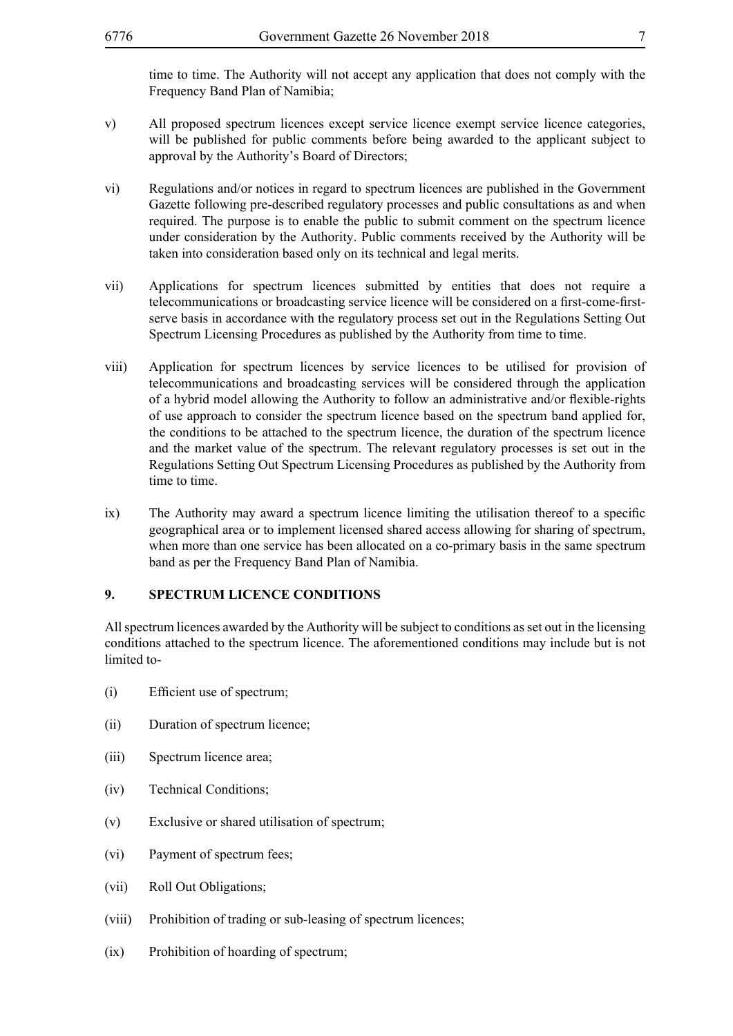time to time. The Authority will not accept any application that does not comply with the Frequency Band Plan of Namibia;

- v) All proposed spectrum licences except service licence exempt service licence categories, will be published for public comments before being awarded to the applicant subject to approval by the Authority's Board of Directors;
- vi) Regulations and/or notices in regard to spectrum licences are published in the Government Gazette following pre-described regulatory processes and public consultations as and when required. The purpose is to enable the public to submit comment on the spectrum licence under consideration by the Authority. Public comments received by the Authority will be taken into consideration based only on its technical and legal merits.
- vii) Applications for spectrum licences submitted by entities that does not require a telecommunications or broadcasting service licence will be considered on a first-come-firstserve basis in accordance with the regulatory process set out in the Regulations Setting Out Spectrum Licensing Procedures as published by the Authority from time to time.
- viii) Application for spectrum licences by service licences to be utilised for provision of telecommunications and broadcasting services will be considered through the application of a hybrid model allowing the Authority to follow an administrative and/or flexible-rights of use approach to consider the spectrum licence based on the spectrum band applied for, the conditions to be attached to the spectrum licence, the duration of the spectrum licence and the market value of the spectrum. The relevant regulatory processes is set out in the Regulations Setting Out Spectrum Licensing Procedures as published by the Authority from time to time.
- ix) The Authority may award a spectrum licence limiting the utilisation thereof to a specific geographical area or to implement licensed shared access allowing for sharing of spectrum, when more than one service has been allocated on a co-primary basis in the same spectrum band as per the Frequency Band Plan of Namibia.

#### **9. SPECTRUM LICENCE CONDITIONS**

All spectrum licences awarded by the Authority will be subject to conditions as set out in the licensing conditions attached to the spectrum licence. The aforementioned conditions may include but is not limited to-

- (i) Efficient use of spectrum;
- (ii) Duration of spectrum licence;
- (iii) Spectrum licence area;
- (iv) Technical Conditions;
- (v) Exclusive or shared utilisation of spectrum;
- (vi) Payment of spectrum fees;
- (vii) Roll Out Obligations;
- (viii) Prohibition of trading or sub-leasing of spectrum licences;
- (ix) Prohibition of hoarding of spectrum;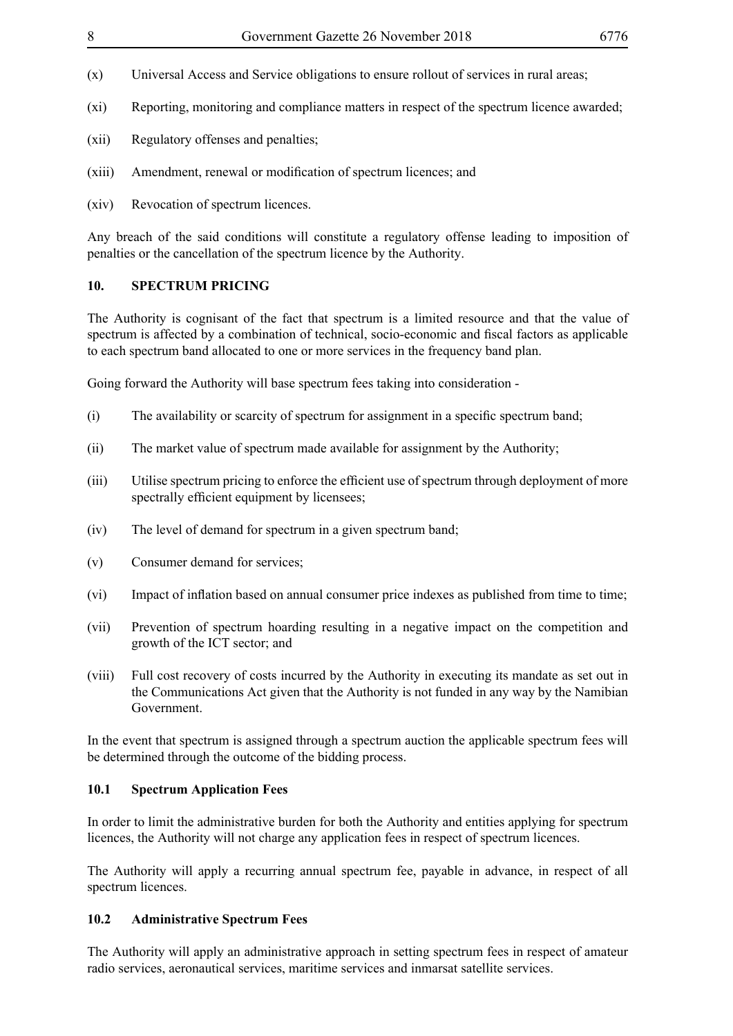- (x) Universal Access and Service obligations to ensure rollout of services in rural areas;
- (xi) Reporting, monitoring and compliance matters in respect of the spectrum licence awarded;
- (xii) Regulatory offenses and penalties;
- (xiii) Amendment, renewal or modification of spectrum licences; and
- (xiv) Revocation of spectrum licences.

Any breach of the said conditions will constitute a regulatory offense leading to imposition of penalties or the cancellation of the spectrum licence by the Authority.

#### **10. SPECTRUM PRICING**

The Authority is cognisant of the fact that spectrum is a limited resource and that the value of spectrum is affected by a combination of technical, socio-economic and fiscal factors as applicable to each spectrum band allocated to one or more services in the frequency band plan.

Going forward the Authority will base spectrum fees taking into consideration -

- (i) The availability or scarcity of spectrum for assignment in a specific spectrum band;
- (ii) The market value of spectrum made available for assignment by the Authority;
- (iii) Utilise spectrum pricing to enforce the efficient use of spectrum through deployment of more spectrally efficient equipment by licensees;
- (iv) The level of demand for spectrum in a given spectrum band;
- (v) Consumer demand for services;
- (vi) Impact of inflation based on annual consumer price indexes as published from time to time;
- (vii) Prevention of spectrum hoarding resulting in a negative impact on the competition and growth of the ICT sector; and
- (viii) Full cost recovery of costs incurred by the Authority in executing its mandate as set out in the Communications Act given that the Authority is not funded in any way by the Namibian Government.

In the event that spectrum is assigned through a spectrum auction the applicable spectrum fees will be determined through the outcome of the bidding process.

#### **10.1 Spectrum Application Fees**

In order to limit the administrative burden for both the Authority and entities applying for spectrum licences, the Authority will not charge any application fees in respect of spectrum licences.

The Authority will apply a recurring annual spectrum fee, payable in advance, in respect of all spectrum licences.

#### **10.2 Administrative Spectrum Fees**

The Authority will apply an administrative approach in setting spectrum fees in respect of amateur radio services, aeronautical services, maritime services and inmarsat satellite services.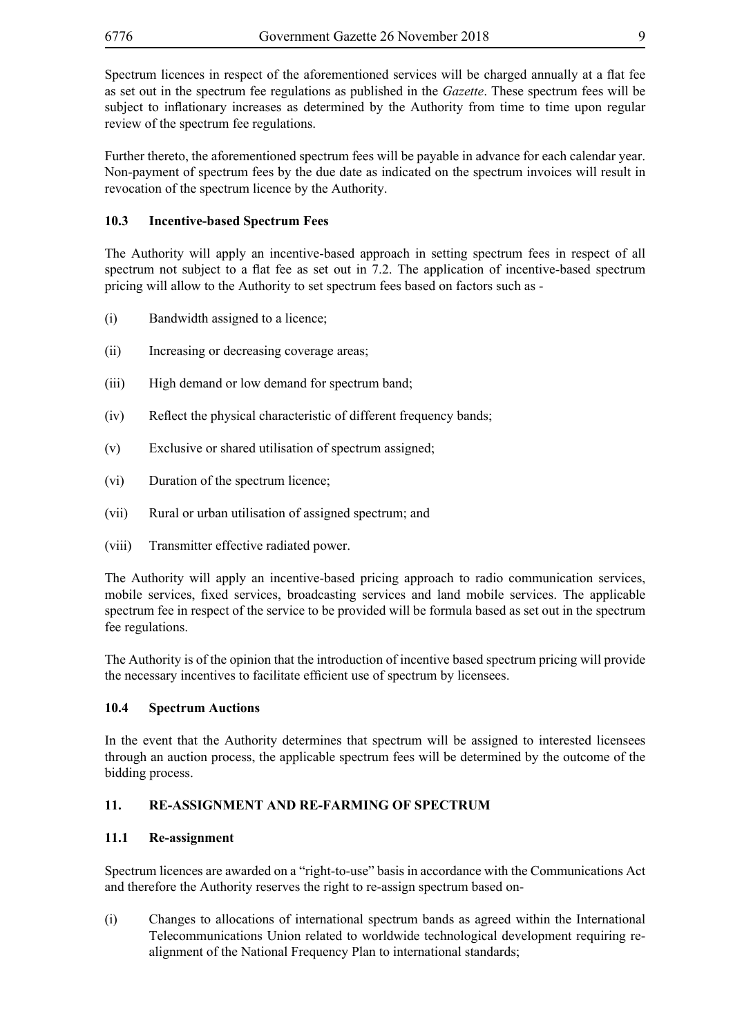Spectrum licences in respect of the aforementioned services will be charged annually at a flat fee as set out in the spectrum fee regulations as published in the *Gazette*. These spectrum fees will be subject to inflationary increases as determined by the Authority from time to time upon regular review of the spectrum fee regulations.

Further thereto, the aforementioned spectrum fees will be payable in advance for each calendar year. Non-payment of spectrum fees by the due date as indicated on the spectrum invoices will result in revocation of the spectrum licence by the Authority.

#### **10.3 Incentive-based Spectrum Fees**

The Authority will apply an incentive-based approach in setting spectrum fees in respect of all spectrum not subject to a flat fee as set out in 7.2. The application of incentive-based spectrum pricing will allow to the Authority to set spectrum fees based on factors such as -

- (i) Bandwidth assigned to a licence;
- (ii) Increasing or decreasing coverage areas;
- (iii) High demand or low demand for spectrum band;
- (iv) Reflect the physical characteristic of different frequency bands;
- (v) Exclusive or shared utilisation of spectrum assigned;
- (vi) Duration of the spectrum licence;
- (vii) Rural or urban utilisation of assigned spectrum; and
- (viii) Transmitter effective radiated power.

The Authority will apply an incentive-based pricing approach to radio communication services, mobile services, fixed services, broadcasting services and land mobile services. The applicable spectrum fee in respect of the service to be provided will be formula based as set out in the spectrum fee regulations.

The Authority is of the opinion that the introduction of incentive based spectrum pricing will provide the necessary incentives to facilitate efficient use of spectrum by licensees.

#### **10.4 Spectrum Auctions**

In the event that the Authority determines that spectrum will be assigned to interested licensees through an auction process, the applicable spectrum fees will be determined by the outcome of the bidding process.

#### **11. RE-ASSIGNMENT AND RE-FARMING OF SPECTRUM**

#### **11.1 Re-assignment**

Spectrum licences are awarded on a "right-to-use" basis in accordance with the Communications Act and therefore the Authority reserves the right to re-assign spectrum based on-

(i) Changes to allocations of international spectrum bands as agreed within the International Telecommunications Union related to worldwide technological development requiring realignment of the National Frequency Plan to international standards;